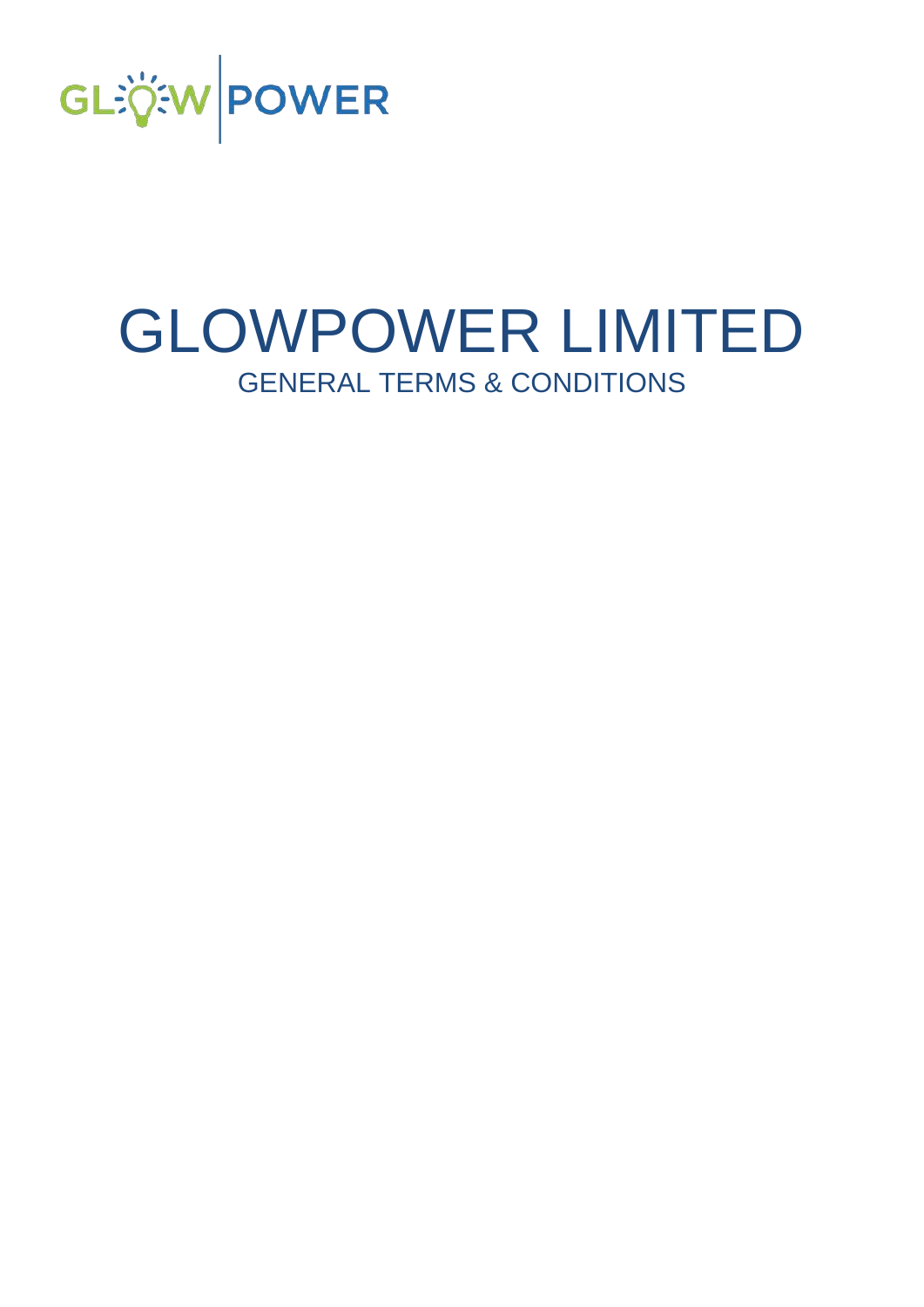

# GLOWPOWER LIMITED GENERAL TERMS & CONDITIONS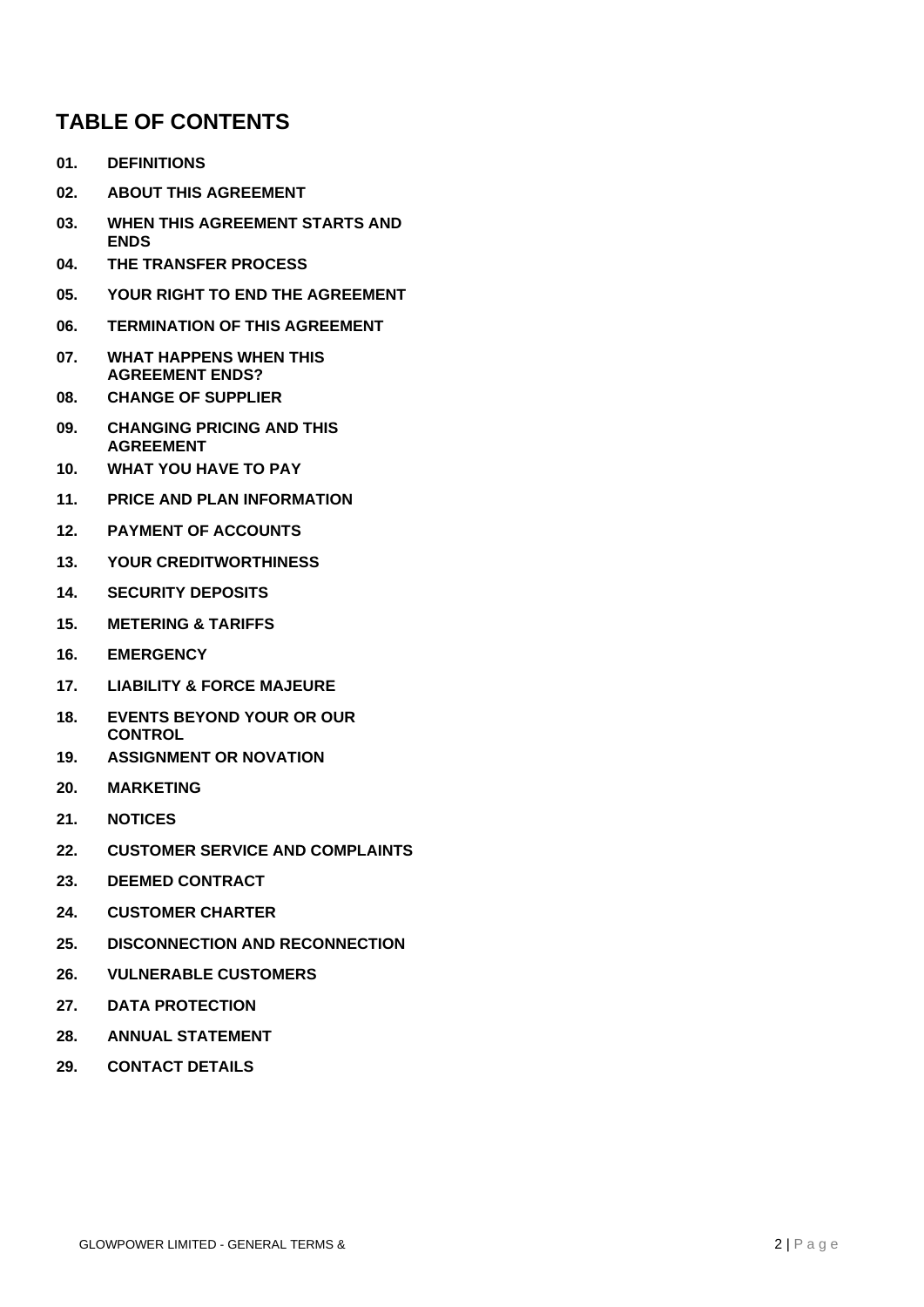## **TABLE OF CONTENTS**

- **[01.](#page-2-0) [DEFINITIONS](#page-2-0)**
- **[02.](#page-4-0) [ABOUT THIS AGREEMENT](#page-4-0)**
- **[03.](#page-4-1) [WHEN THIS AGREEMENT STARTS AND](#page-4-1)  [ENDS](#page-4-1)**
- **[04.](#page-4-2) [THE TRANSFER PROCESS](#page-4-2)**
- **[05.](#page-4-3) [YOUR RIGHT TO END THE AGREEMENT](#page-4-3)**
- **[06.](#page-5-0) [TERMINATION OF THIS AGREEMENT](#page-5-0)**
- **[07.](#page-5-1) [WHAT HAPPENS WHEN THIS](#page-5-1)  [AGREEMENT ENDS?](#page-5-1)**
- **[08.](#page-5-2) [CHANGE OF SUPPLIER](#page-5-2)**
- **[09.](#page-6-0) [CHANGING PRICING AND THIS](#page-6-0)  [AGREEMENT](#page-6-0)**
- **[10.](#page-6-1) [WHAT YOU HAVE TO PAY](#page-6-1)**
- **11. PRICE AND PLAN INFORMATION**
- **[12.](#page-7-0) [PAYMENT OF ACCOUNTS](#page-7-0)**
- **[13.](#page-7-1) [YOUR CREDITWORTHINESS](#page-7-1)**
- **[14.](#page-9-0) [SECURITY DEPOSITS](#page-9-0)**
- **[15.](#page-9-1) [METERING & TARIFFS](#page-9-1)**
- **[16.](#page-10-0) [EMERGENCY](#page-10-0)**
- **[17.](#page-10-1) [LIABILITY & FORCE MAJEURE](#page-10-1)**
- **[18.](#page-10-2) [EVENTS BEYOND YOUR OR OUR](#page-10-2)  [CONTROL](#page-10-2)**
- **[19.](#page-11-0) [ASSIGNMENT OR NOVATION](#page-11-0)**
- **[20.](#page-11-1) [MARKETING](#page-11-1)**
- **[21.](#page-11-2) [NOTICES](#page-11-2)**
- **[22.](#page-11-3) [CUSTOMER SERVICE AND COMPLAINTS](#page-11-3)**
- **[23.](#page-13-0) [DEEMED CONTRACT](#page-13-0)**
- **[24.](#page-13-1) [CUSTOMER CHARTER](#page-13-1)**
- **[25.](#page-14-0) [DISCONNECTION AND RECONNECTION](#page-14-0)**
- **26. VULNERABLE CUSTOMERS**
- **27. DATA PROTECTION**
- **[28.](#page-16-0) [ANNUAL STATEMENT](#page-16-0)**
- **[29.](#page-16-1) [CONTACT DETAILS](#page-16-1)**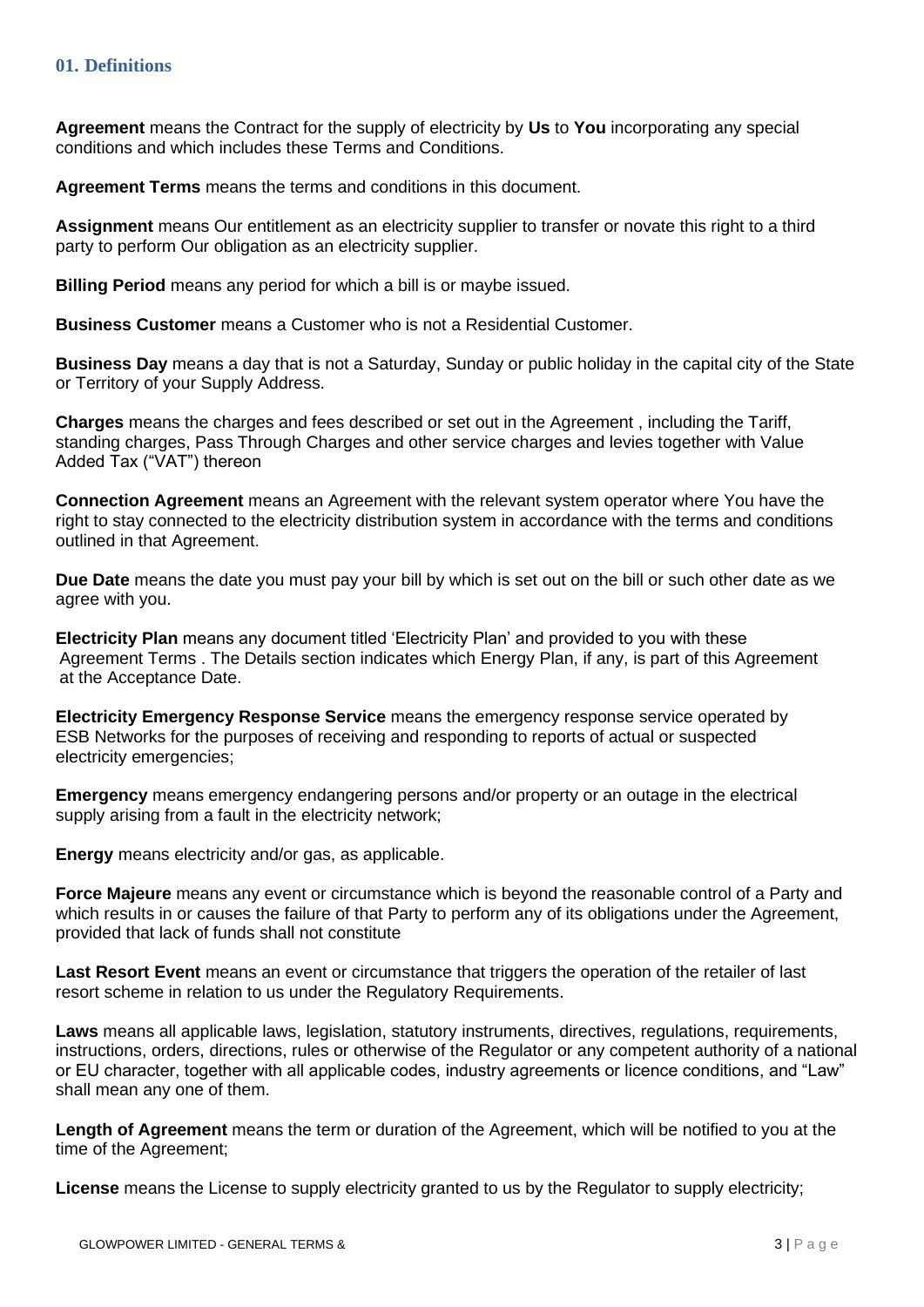<span id="page-2-0"></span>**Agreement** means the Contract for the supply of electricity by **Us** to **You** incorporating any special conditions and which includes these Terms and Conditions.

**Agreement Terms** means the terms and conditions in this document.

**Assignment** means Our entitlement as an electricity supplier to transfer or novate this right to a third party to perform Our obligation as an electricity supplier.

**Billing Period** means any period for which a bill is or maybe issued.

**Business Customer** means a Customer who is not a Residential Customer.

**Business Day** means a day that is not a Saturday, Sunday or public holiday in the capital city of the State or Territory of your Supply Address.

**Charges** means the charges and fees described or set out in the Agreement , including the Tariff, standing charges, Pass Through Charges and other service charges and levies together with Value Added Tax ("VAT") thereon

**Connection Agreement** means an Agreement with the relevant system operator where You have the right to stay connected to the electricity distribution system in accordance with the terms and conditions outlined in that Agreement.

**Due Date** means the date you must pay your bill by which is set out on the bill or such other date as we agree with you.

**Electricity Plan** means any document titled 'Electricity Plan' and provided to you with these Agreement Terms . The Details section indicates which Energy Plan, if any, is part of this Agreement at the Acceptance Date.

**Electricity Emergency Response Service** means the emergency response service operated by ESB Networks for the purposes of receiving and responding to reports of actual or suspected electricity emergencies;

**Emergency** means emergency endangering persons and/or property or an outage in the electrical supply arising from a fault in the electricity network;

**Energy** means electricity and/or gas, as applicable.

**Force Majeure** means any event or circumstance which is beyond the reasonable control of a Party and which results in or causes the failure of that Party to perform any of its obligations under the Agreement, provided that lack of funds shall not constitute

**Last Resort Event** means an event or circumstance that triggers the operation of the retailer of last resort scheme in relation to us under the Regulatory Requirements.

**Laws** means all applicable laws, legislation, statutory instruments, directives, regulations, requirements, instructions, orders, directions, rules or otherwise of the Regulator or any competent authority of a national or EU character, together with all applicable codes, industry agreements or licence conditions, and "Law" shall mean any one of them.

**Length of Agreement** means the term or duration of the Agreement, which will be notified to you at the time of the Agreement;

**License** means the License to supply electricity granted to us by the Regulator to supply electricity;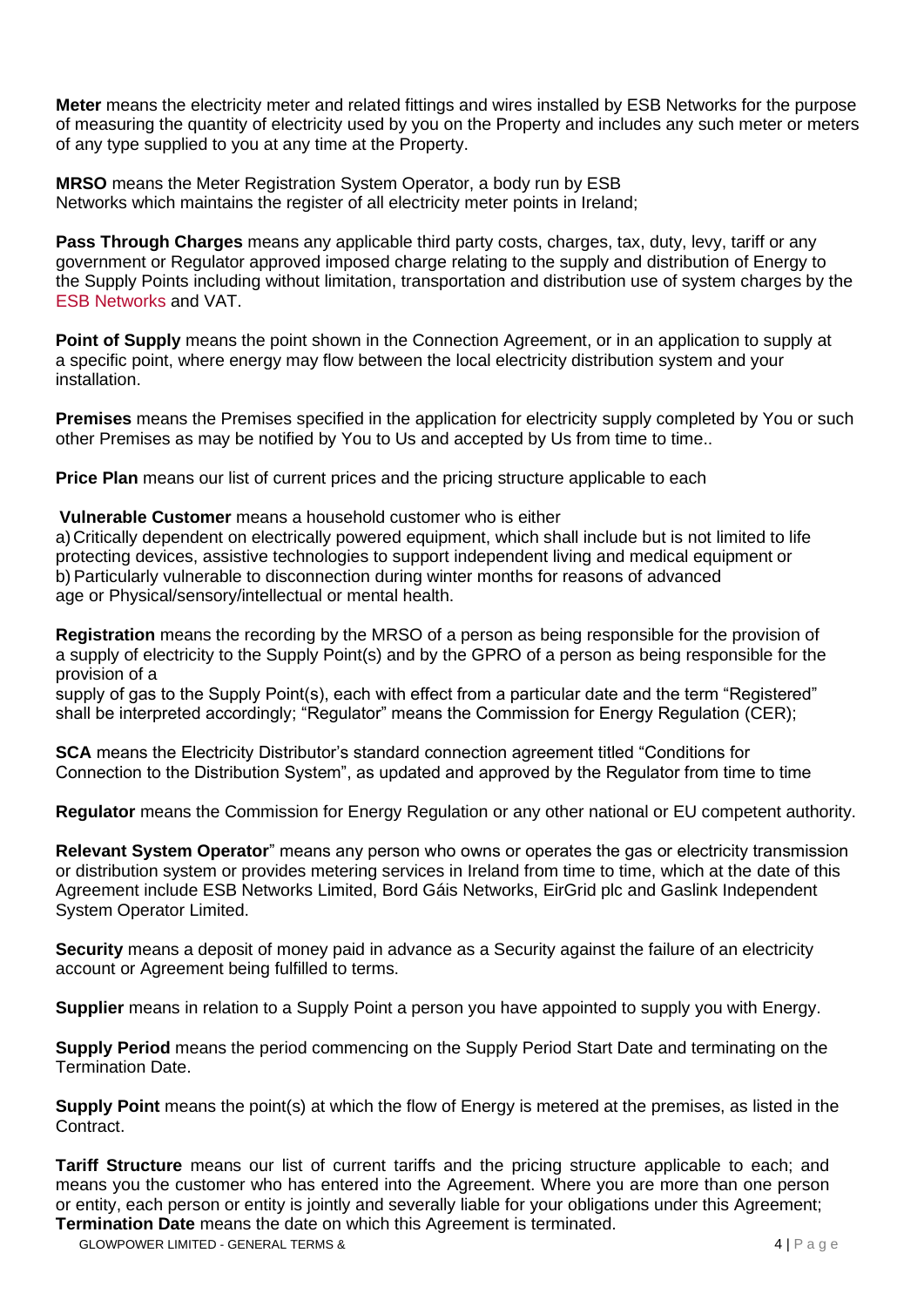**Meter** means the electricity meter and related fittings and wires installed by ESB Networks for the purpose of measuring the quantity of electricity used by you on the Property and includes any such meter or meters of any type supplied to you at any time at the Property.

**MRSO** means the Meter Registration System Operator, a body run by ESB Networks which maintains the register of all electricity meter points in Ireland;

**Pass Through Charges** means any applicable third party costs, charges, tax, duty, levy, tariff or any government or Regulator approved imposed charge relating to the supply and distribution of Energy to the Supply Points including without limitation, transportation and distribution use of system charges by the ESB Networks and VAT.

**Point of Supply** means the point shown in the Connection Agreement, or in an application to supply at a specific point, where energy may flow between the local electricity distribution system and your installation.

**Premises** means the Premises specified in the application for electricity supply completed by You or such other Premises as may be notified by You to Us and accepted by Us from time to time..

**Price Plan** means our list of current prices and the pricing structure applicable to each

**Vulnerable Customer** means a household customer who is either

a)Critically dependent on electrically powered equipment, which shall include but is not limited to life protecting devices, assistive technologies to support independent living and medical equipment or b) Particularly vulnerable to disconnection during winter months for reasons of advanced age or Physical/sensory/intellectual or mental health.

**Registration** means the recording by the MRSO of a person as being responsible for the provision of a supply of electricity to the Supply Point(s) and by the GPRO of a person as being responsible for the provision of a

supply of gas to the Supply Point(s), each with effect from a particular date and the term "Registered" shall be interpreted accordingly; "Regulator" means the Commission for Energy Regulation (CER);

**SCA** means the Electricity Distributor's standard connection agreement titled "Conditions for Connection to the Distribution System", as updated and approved by the Regulator from time to time

**Regulator** means the Commission for Energy Regulation or any other national or EU competent authority.

**Relevant System Operator**" means any person who owns or operates the gas or electricity transmission or distribution system or provides metering services in Ireland from time to time, which at the date of this Agreement include ESB Networks Limited, Bord Gáis Networks, EirGrid plc and Gaslink Independent System Operator Limited.

**Security** means a deposit of money paid in advance as a Security against the failure of an electricity account or Agreement being fulfilled to terms.

**Supplier** means in relation to a Supply Point a person you have appointed to supply you with Energy.

**Supply Period** means the period commencing on the Supply Period Start Date and terminating on the Termination Date.

**Supply Point** means the point(s) at which the flow of Energy is metered at the premises, as listed in the Contract.

**Tariff Structure** means our list of current tariffs and the pricing structure applicable to each; and means you the customer who has entered into the Agreement. Where you are more than one person or entity, each person or entity is jointly and severally liable for your obligations under this Agreement; **Termination Date** means the date on which this Agreement is terminated.

GLOWPOWER LIMITED - GENERAL TERMS & 4 | P a g e 4 | P a g e 4 | P a g e 4 | P a g e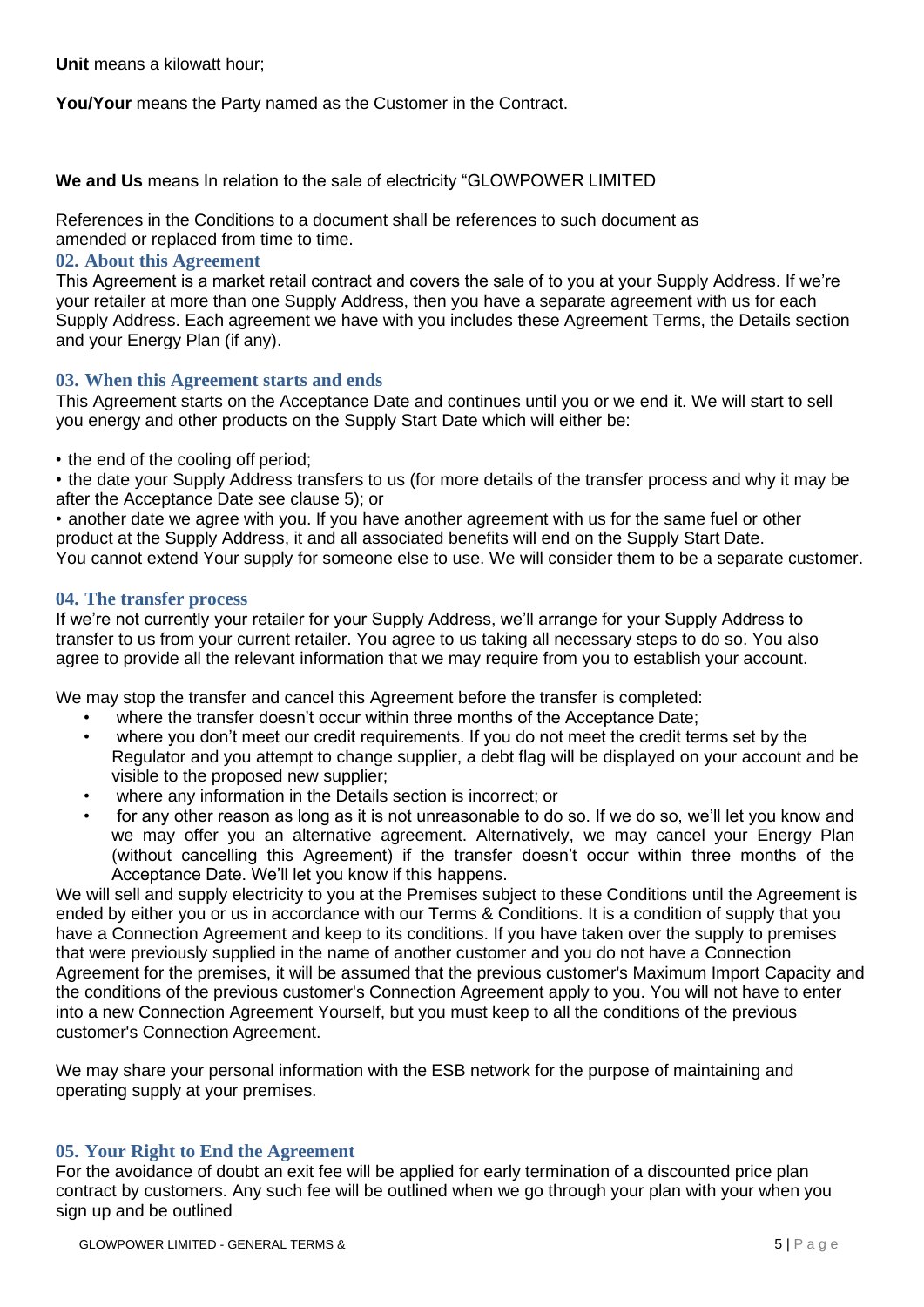**Unit** means a kilowatt hour;

**You/Your** means the Party named as the Customer in the Contract.

**We and Us** means In relation to the sale of electricity "GLOWPOWER LIMITED

References in the Conditions to a document shall be references to such document as amended or replaced from time to time.

## <span id="page-4-0"></span>**02. About this Agreement**

This Agreement is a market retail contract and covers the sale of to you at your Supply Address. If we're your retailer at more than one Supply Address, then you have a separate agreement with us for each Supply Address. Each agreement we have with you includes these Agreement Terms, the Details section and your Energy Plan (if any).

## <span id="page-4-1"></span>**03. When this Agreement starts and ends**

This Agreement starts on the Acceptance Date and continues until you or we end it. We will start to sell you energy and other products on the Supply Start Date which will either be:

• the end of the cooling off period;

• the date your Supply Address transfers to us (for more details of the transfer process and why it may be after the Acceptance Date see clause 5); or

• another date we agree with you. If you have another agreement with us for the same fuel or other product at the Supply Address, it and all associated benefits will end on the Supply Start Date. You cannot extend Your supply for someone else to use. We will consider them to be a separate customer.

## <span id="page-4-2"></span>**04. The transfer process**

If we're not currently your retailer for your Supply Address, we'll arrange for your Supply Address to transfer to us from your current retailer. You agree to us taking all necessary steps to do so. You also agree to provide all the relevant information that we may require from you to establish your account.

We may stop the transfer and cancel this Agreement before the transfer is completed:

- where the transfer doesn't occur within three months of the Acceptance Date;
- where you don't meet our credit requirements. If you do not meet the credit terms set by the Regulator and you attempt to change supplier, a debt flag will be displayed on your account and be visible to the proposed new supplier;
- where any information in the Details section is incorrect; or
- for any other reason as long as it is not unreasonable to do so. If we do so, we'll let you know and we may offer you an alternative agreement. Alternatively, we may cancel your Energy Plan (without cancelling this Agreement) if the transfer doesn't occur within three months of the Acceptance Date. We'll let you know if this happens.

We will sell and supply electricity to you at the Premises subject to these Conditions until the Agreement is ended by either you or us in accordance with our Terms & Conditions. It is a condition of supply that you have a Connection Agreement and keep to its conditions. If you have taken over the supply to premises that were previously supplied in the name of another customer and you do not have a Connection Agreement for the premises, it will be assumed that the previous customer's Maximum Import Capacity and the conditions of the previous customer's Connection Agreement apply to you. You will not have to enter into a new Connection Agreement Yourself, but you must keep to all the conditions of the previous customer's Connection Agreement.

We may share your personal information with the ESB network for the purpose of maintaining and operating supply at your premises.

## <span id="page-4-3"></span>**05. Your Right to End the Agreement**

For the avoidance of doubt an exit fee will be applied for early termination of a discounted price plan contract by customers. Any such fee will be outlined when we go through your plan with your when you sign up and be outlined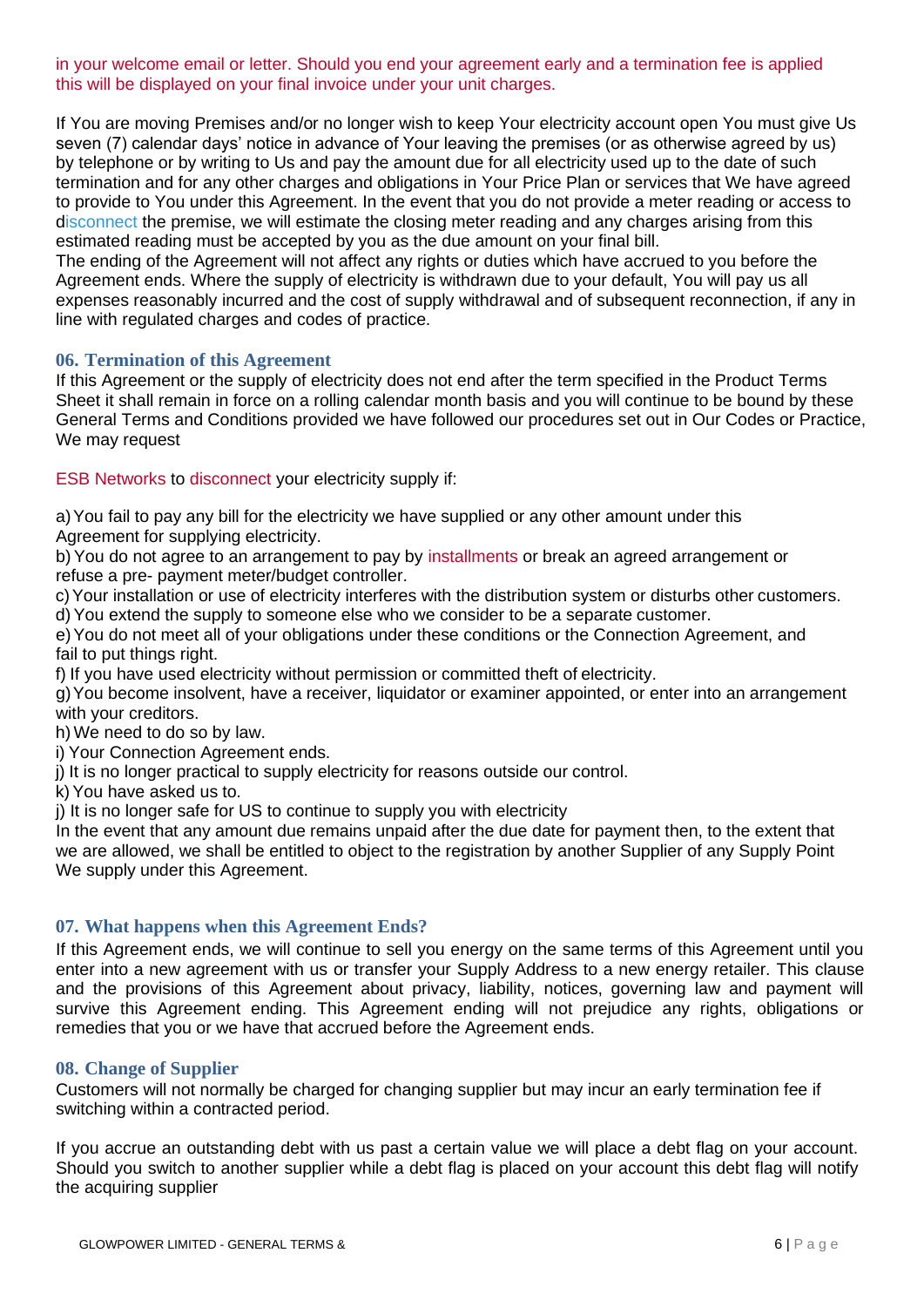in your welcome email or letter. Should you end your agreement early and a termination fee is applied this will be displayed on your final invoice under your unit charges.

If You are moving Premises and/or no longer wish to keep Your electricity account open You must give Us seven (7) calendar days' notice in advance of Your leaving the premises (or as otherwise agreed by us) by telephone or by writing to Us and pay the amount due for all electricity used up to the date of such termination and for any other charges and obligations in Your Price Plan or services that We have agreed to provide to You under this Agreement. In the event that you do not provide a meter reading or access to disconnect the premise, we will estimate the closing meter reading and any charges arising from this estimated reading must be accepted by you as the due amount on your final bill.

The ending of the Agreement will not affect any rights or duties which have accrued to you before the Agreement ends. Where the supply of electricity is withdrawn due to your default, You will pay us all expenses reasonably incurred and the cost of supply withdrawal and of subsequent reconnection, if any in line with regulated charges and codes of practice.

#### <span id="page-5-0"></span>**06. Termination of this Agreement**

If this Agreement or the supply of electricity does not end after the term specified in the Product Terms Sheet it shall remain in force on a rolling calendar month basis and you will continue to be bound by these General Terms and Conditions provided we have followed our procedures set out in Our Codes or Practice, We may request

ESB Networks to disconnect your electricity supply if:

a)You fail to pay any bill for the electricity we have supplied or any other amount under this Agreement for supplying electricity.

b) You do not agree to an arrangement to pay by installments or break an agreed arrangement or refuse a pre- payment meter/budget controller.

c)Your installation or use of electricity interferes with the distribution system or disturbs other customers. d) You extend the supply to someone else who we consider to be a separate customer.

e)You do not meet all of your obligations under these conditions or the Connection Agreement, and fail to put things right.

f) If you have used electricity without permission or committed theft of electricity.

g)You become insolvent, have a receiver, liquidator or examiner appointed, or enter into an arrangement with your creditors.

h) We need to do so by law.

i) Your Connection Agreement ends.

j) It is no longer practical to supply electricity for reasons outside our control.

k)You have asked us to.

j) It is no longer safe for US to continue to supply you with electricity

<span id="page-5-1"></span>In the event that any amount due remains unpaid after the due date for payment then, to the extent that we are allowed, we shall be entitled to object to the registration by another Supplier of any Supply Point We supply under this Agreement.

## **07. What happens when this Agreement Ends?**

If this Agreement ends, we will continue to sell you energy on the same terms of this Agreement until you enter into a new agreement with us or transfer your Supply Address to a new energy retailer. This clause and the provisions of this Agreement about privacy, liability, notices, governing law and payment will survive this Agreement ending. This Agreement ending will not prejudice any rights, obligations or remedies that you or we have that accrued before the Agreement ends.

#### <span id="page-5-2"></span>**08. Change of Supplier**

Customers will not normally be charged for changing supplier but may incur an early termination fee if switching within a contracted period.

If you accrue an outstanding debt with us past a certain value we will place a debt flag on your account. Should you switch to another supplier while a debt flag is placed on your account this debt flag will notify the acquiring supplier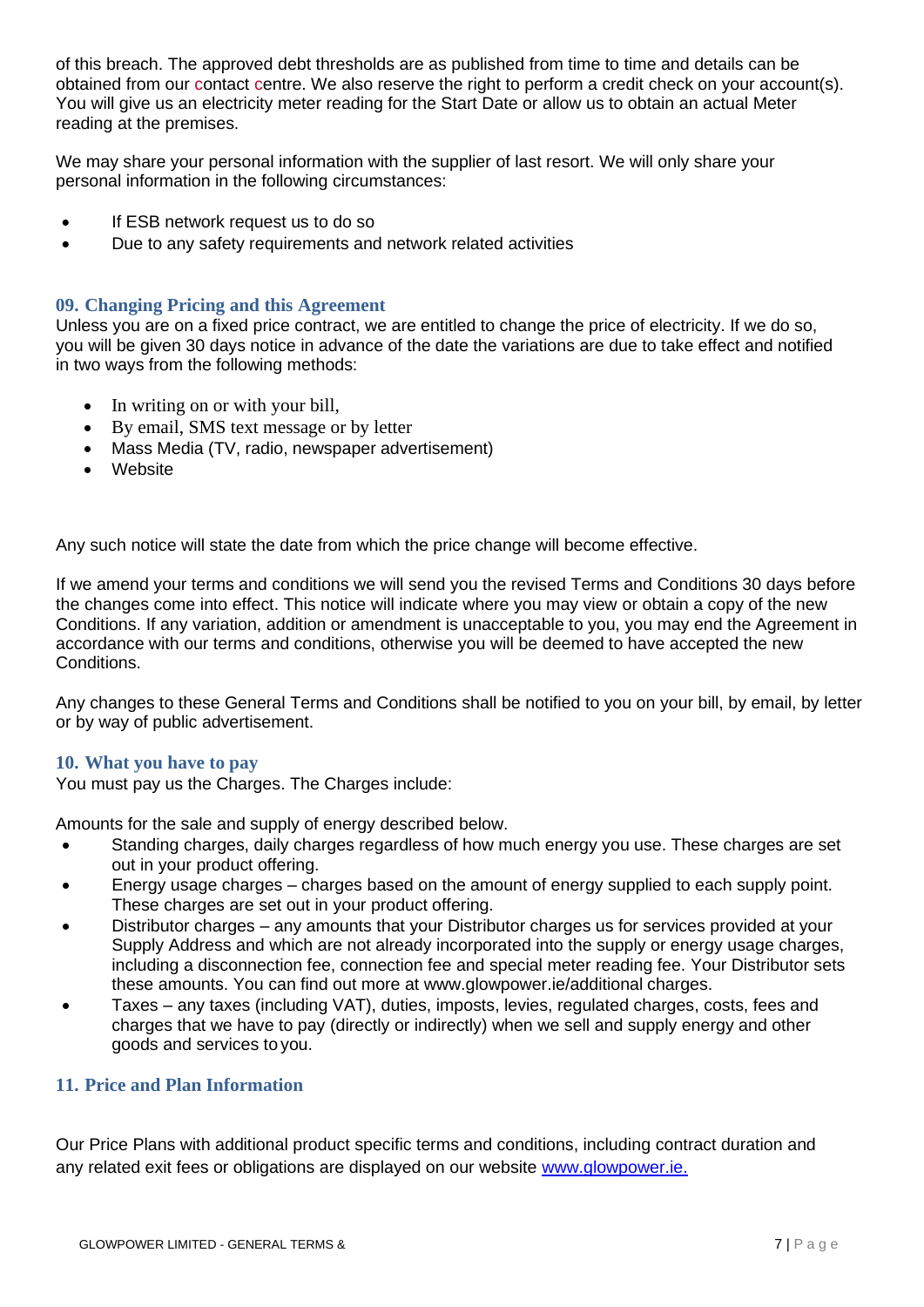of this breach. The approved debt thresholds are as published from time to time and details can be obtained from our contact centre. We also reserve the right to perform a credit check on your account(s). You will give us an electricity meter reading for the Start Date or allow us to obtain an actual Meter reading at the premises.

We may share your personal information with the supplier of last resort. We will only share your personal information in the following circumstances:

- If ESB network request us to do so
- Due to any safety requirements and network related activities

## <span id="page-6-0"></span>**09. Changing Pricing and this Agreement**

Unless you are on a fixed price contract, we are entitled to change the price of electricity. If we do so, you will be given 30 days notice in advance of the date the variations are due to take effect and notified in two ways from the following methods:

- In writing on or with your bill,
- By email, SMS text message or by letter
- Mass Media (TV, radio, newspaper advertisement)
- Website

Any such notice will state the date from which the price change will become effective.

If we amend your terms and conditions we will send you the revised Terms and Conditions 30 days before the changes come into effect. This notice will indicate where you may view or obtain a copy of the new Conditions. If any variation, addition or amendment is unacceptable to you, you may end the Agreement in accordance with our terms and conditions, otherwise you will be deemed to have accepted the new Conditions.

Any changes to these General Terms and Conditions shall be notified to you on your bill, by email, by letter or by way of public advertisement.

#### <span id="page-6-1"></span>**10. What you have to pay**

You must pay us the Charges. The Charges include:

Amounts for the sale and supply of energy described below.

- Standing charges, daily charges regardless of how much energy you use. These charges are set out in your product offering.
- Energy usage charges charges based on the amount of energy supplied to each supply point. These charges are set out in your product offering.
- Distributor charges any amounts that your Distributor charges us for services provided at your Supply Address and which are not already incorporated into the supply or energy usage charges, including a disconnection fee, connection fee and special meter reading fee. Your Distributor sets these amounts. You can find out more at [www.glowpower.ie/additional](http://www.glowpower.ie/additional) charges.
- Taxes any taxes (including VAT), duties, imposts, levies, regulated charges, costs, fees and charges that we have to pay (directly or indirectly) when we sell and supply energy and other goods and services to you.

## **11. Price and Plan Information**

Our Price Plans with additional product specific terms and conditions, including contract duration and any related exit fees or obligations are displayed on our website [www.glowpower.ie.](http://www.glowpower.ie/)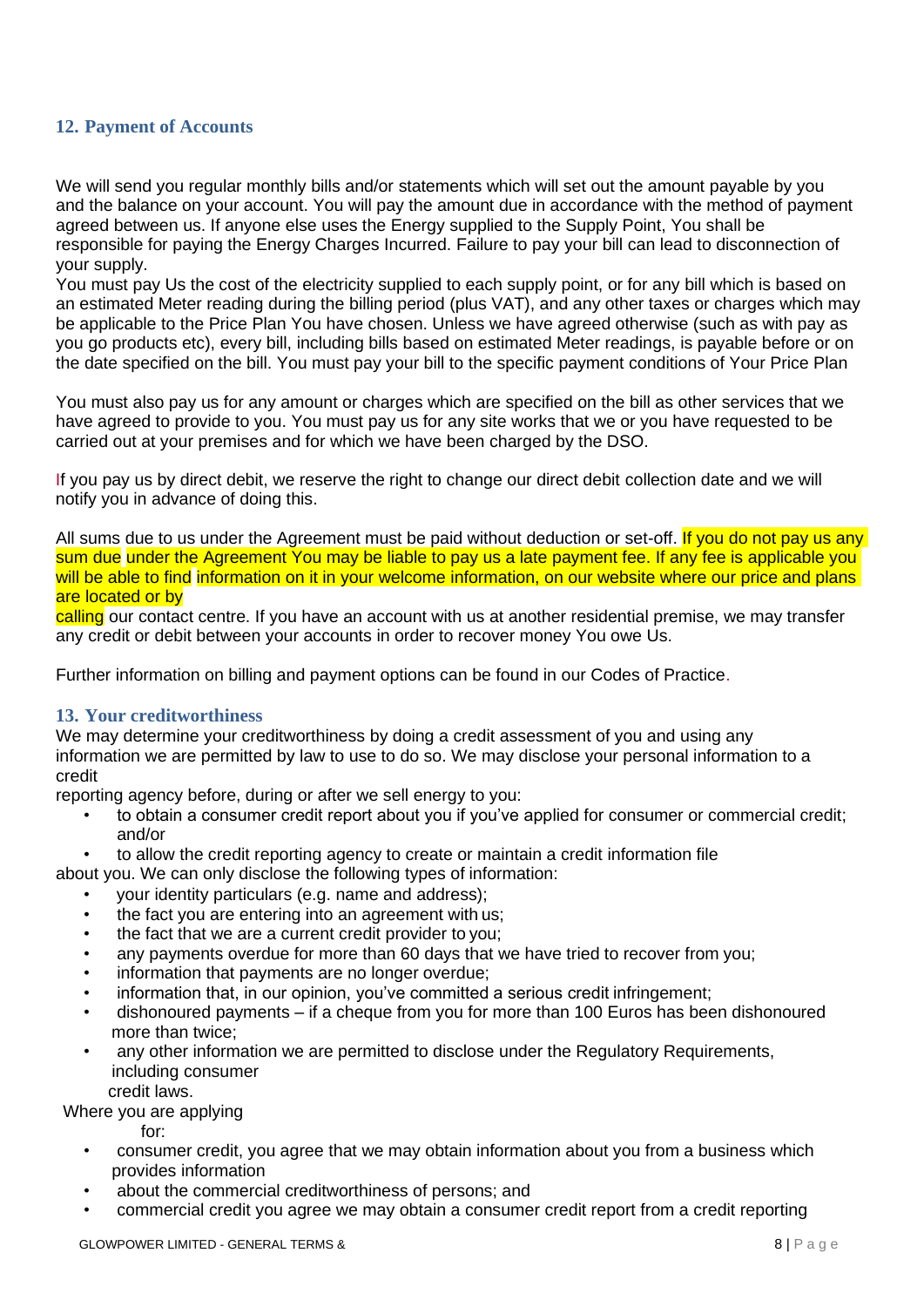## <span id="page-7-0"></span>**12. Payment of Accounts**

We will send you regular monthly bills and/or statements which will set out the amount payable by you and the balance on your account. You will pay the amount due in accordance with the method of payment agreed between us. If anyone else uses the Energy supplied to the Supply Point, You shall be responsible for paying the Energy Charges Incurred. Failure to pay your bill can lead to disconnection of your supply.

You must pay Us the cost of the electricity supplied to each supply point, or for any bill which is based on an estimated Meter reading during the billing period (plus VAT), and any other taxes or charges which may be applicable to the Price Plan You have chosen. Unless we have agreed otherwise (such as with pay as you go products etc), every bill, including bills based on estimated Meter readings, is payable before or on the date specified on the bill. You must pay your bill to the specific payment conditions of Your Price Plan

You must also pay us for any amount or charges which are specified on the bill as other services that we have agreed to provide to you. You must pay us for any site works that we or you have requested to be carried out at your premises and for which we have been charged by the DSO.

If you pay us by direct debit, we reserve the right to change our direct debit collection date and we will notify you in advance of doing this.

All sums due to us under the Agreement must be paid without deduction or set-off. If you do not pay us any sum due under the Agreement You may be liable to pay us a late payment fee. If any fee is applicable you will be able to find information on it in your welcome information, on our website where our price and plans are located or by

calling our contact centre. If you have an account with us at another residential premise, we may transfer any credit or debit between your accounts in order to recover money You owe Us.

Further information on billing and payment options can be found in our Codes of Practice.

#### <span id="page-7-1"></span>**13. Your creditworthiness**

We may determine your creditworthiness by doing a credit assessment of you and using any information we are permitted by law to use to do so. We may disclose your personal information to a credit

reporting agency before, during or after we sell energy to you:

- to obtain a consumer credit report about you if you've applied for consumer or commercial credit; and/or
- to allow the credit reporting agency to create or maintain a credit information file

about you. We can only disclose the following types of information:

- your identity particulars (e.g. name and address);
- the fact you are entering into an agreement with us:
- the fact that we are a current credit provider to you;
- any payments overdue for more than 60 days that we have tried to recover from you;
- information that payments are no longer overdue;
- information that, in our opinion, you've committed a serious credit infringement;
- dishonoured payments if a cheque from you for more than 100 Euros has been dishonoured more than twice;
- any other information we are permitted to disclose under the Regulatory Requirements, including consumer
	- credit laws.

Where you are applying

- for:
- consumer credit, you agree that we may obtain information about you from a business which provides information
- about the commercial creditworthiness of persons; and
- commercial credit you agree we may obtain a consumer credit report from a credit reporting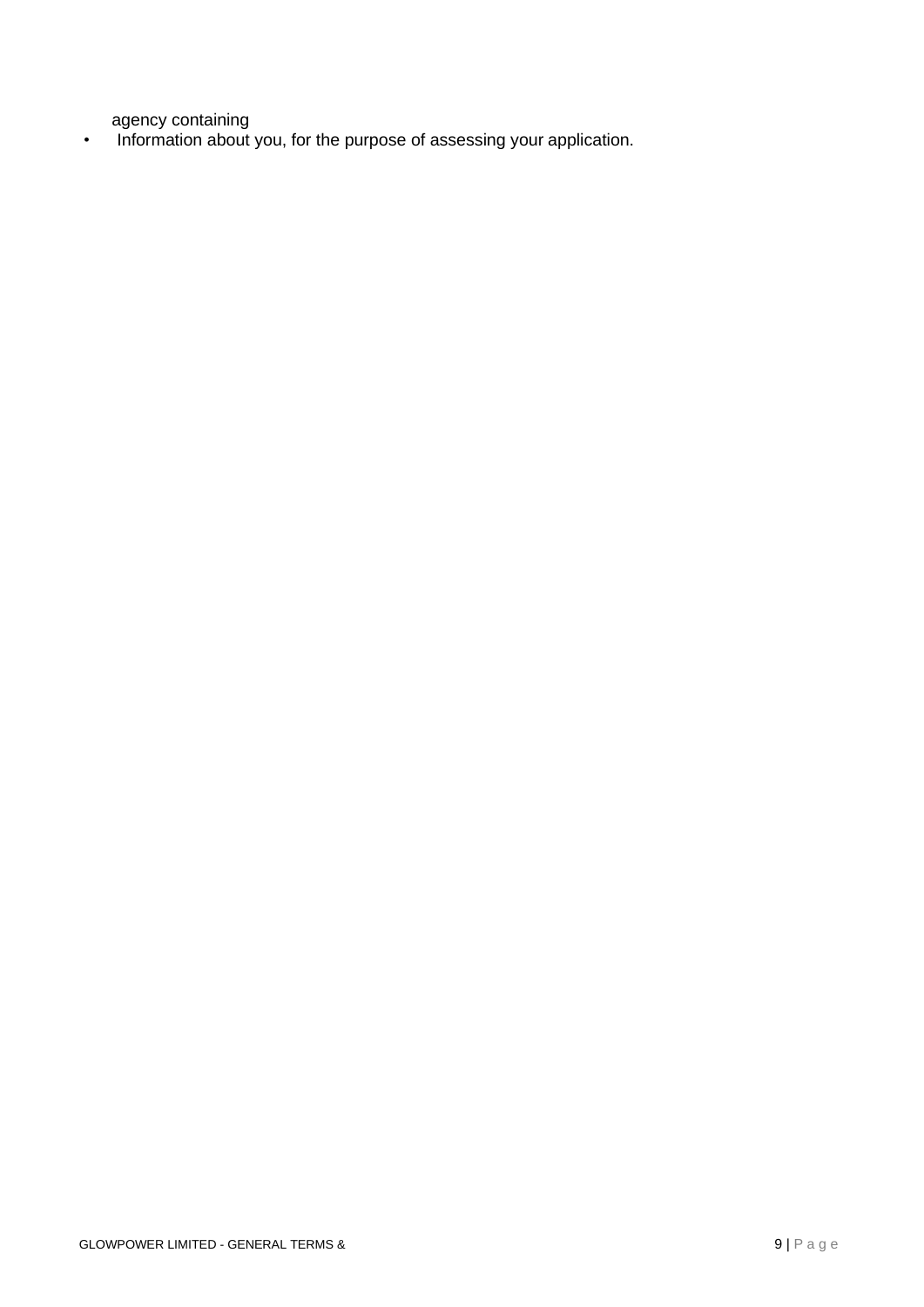agency containing

• Information about you, for the purpose of assessing your application.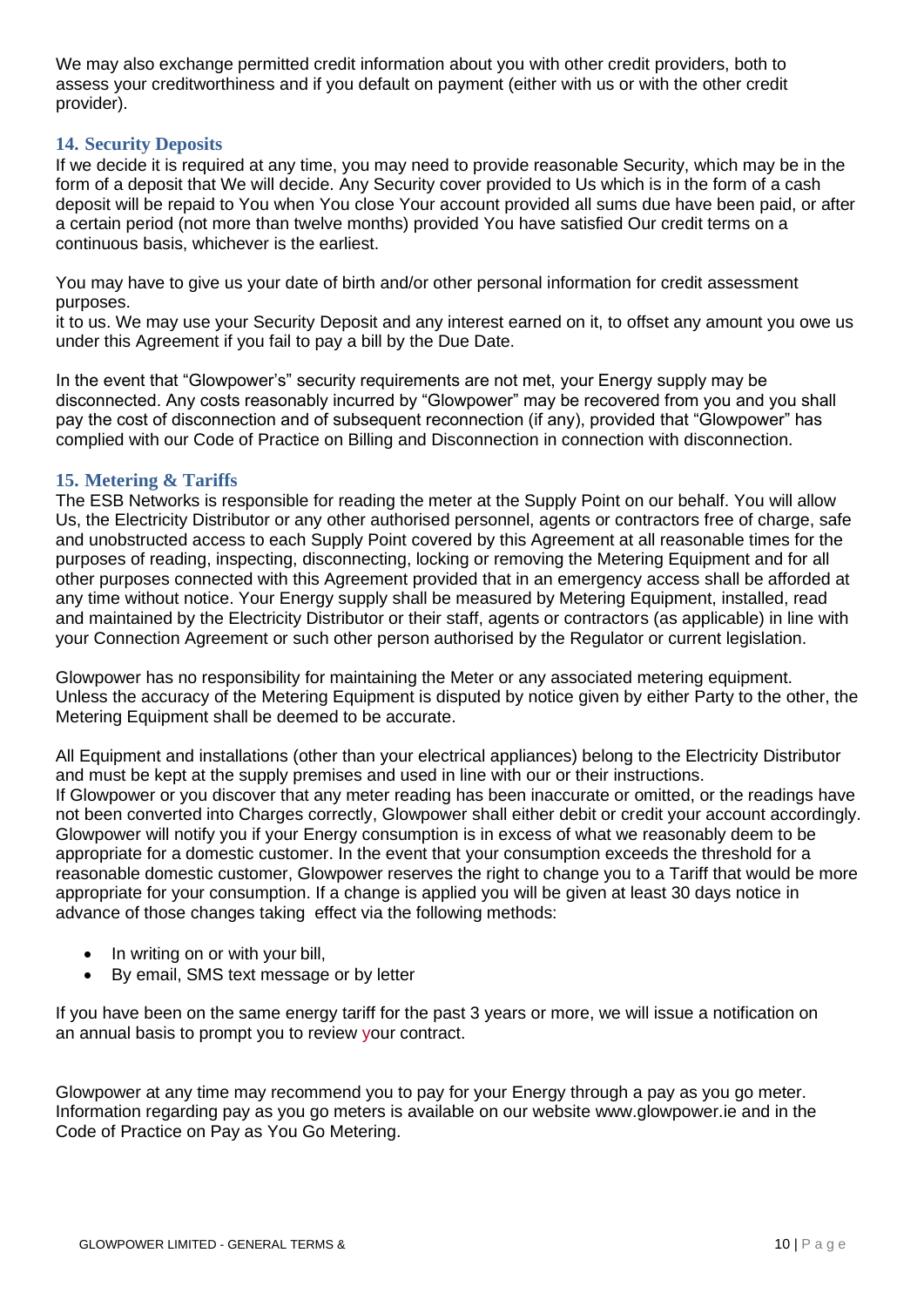We may also exchange permitted credit information about you with other credit providers, both to assess your creditworthiness and if you default on payment (either with us or with the other credit provider).

## <span id="page-9-0"></span>**14. Security Deposits**

If we decide it is required at any time, you may need to provide reasonable Security, which may be in the form of a deposit that We will decide. Any Security cover provided to Us which is in the form of a cash deposit will be repaid to You when You close Your account provided all sums due have been paid, or after a certain period (not more than twelve months) provided You have satisfied Our credit terms on a continuous basis, whichever is the earliest.

You may have to give us your date of birth and/or other personal information for credit assessment purposes.

it to us. We may use your Security Deposit and any interest earned on it, to offset any amount you owe us under this Agreement if you fail to pay a bill by the Due Date.

In the event that "Glowpower's" security requirements are not met, your Energy supply may be disconnected. Any costs reasonably incurred by "Glowpower" may be recovered from you and you shall pay the cost of disconnection and of subsequent reconnection (if any), provided that "Glowpower" has complied with our Code of Practice on Billing and Disconnection in connection with disconnection.

#### <span id="page-9-1"></span>**15. Metering & Tariffs**

The ESB Networks is responsible for reading the meter at the Supply Point on our behalf. You will allow Us, the Electricity Distributor or any other authorised personnel, agents or contractors free of charge, safe and unobstructed access to each Supply Point covered by this Agreement at all reasonable times for the purposes of reading, inspecting, disconnecting, locking or removing the Metering Equipment and for all other purposes connected with this Agreement provided that in an emergency access shall be afforded at any time without notice. Your Energy supply shall be measured by Metering Equipment, installed, read and maintained by the Electricity Distributor or their staff, agents or contractors (as applicable) in line with your Connection Agreement or such other person authorised by the Regulator or current legislation.

Glowpower has no responsibility for maintaining the Meter or any associated metering equipment. Unless the accuracy of the Metering Equipment is disputed by notice given by either Party to the other, the Metering Equipment shall be deemed to be accurate.

All Equipment and installations (other than your electrical appliances) belong to the Electricity Distributor and must be kept at the supply premises and used in line with our or their instructions. If Glowpower or you discover that any meter reading has been inaccurate or omitted, or the readings have not been converted into Charges correctly, Glowpower shall either debit or credit your account accordingly. Glowpower will notify you if your Energy consumption is in excess of what we reasonably deem to be appropriate for a domestic customer. In the event that your consumption exceeds the threshold for a reasonable domestic customer, Glowpower reserves the right to change you to a Tariff that would be more appropriate for your consumption. If a change is applied you will be given at least 30 days notice in advance of those changes taking effect via the following methods:

- In writing on or with your bill,
- By email, SMS text message or by letter

If you have been on the same energy tariff for the past 3 years or more, we will issue a notification on an annual basis to prompt you to review your contract.

Glowpower at any time may recommend you to pay for your Energy through a pay as you go meter. Information regarding pay as you go meters is available on our website [www.glowpower.ie](http://www.glowpower.ie/) and in the Code of Practice on Pay as You Go Metering.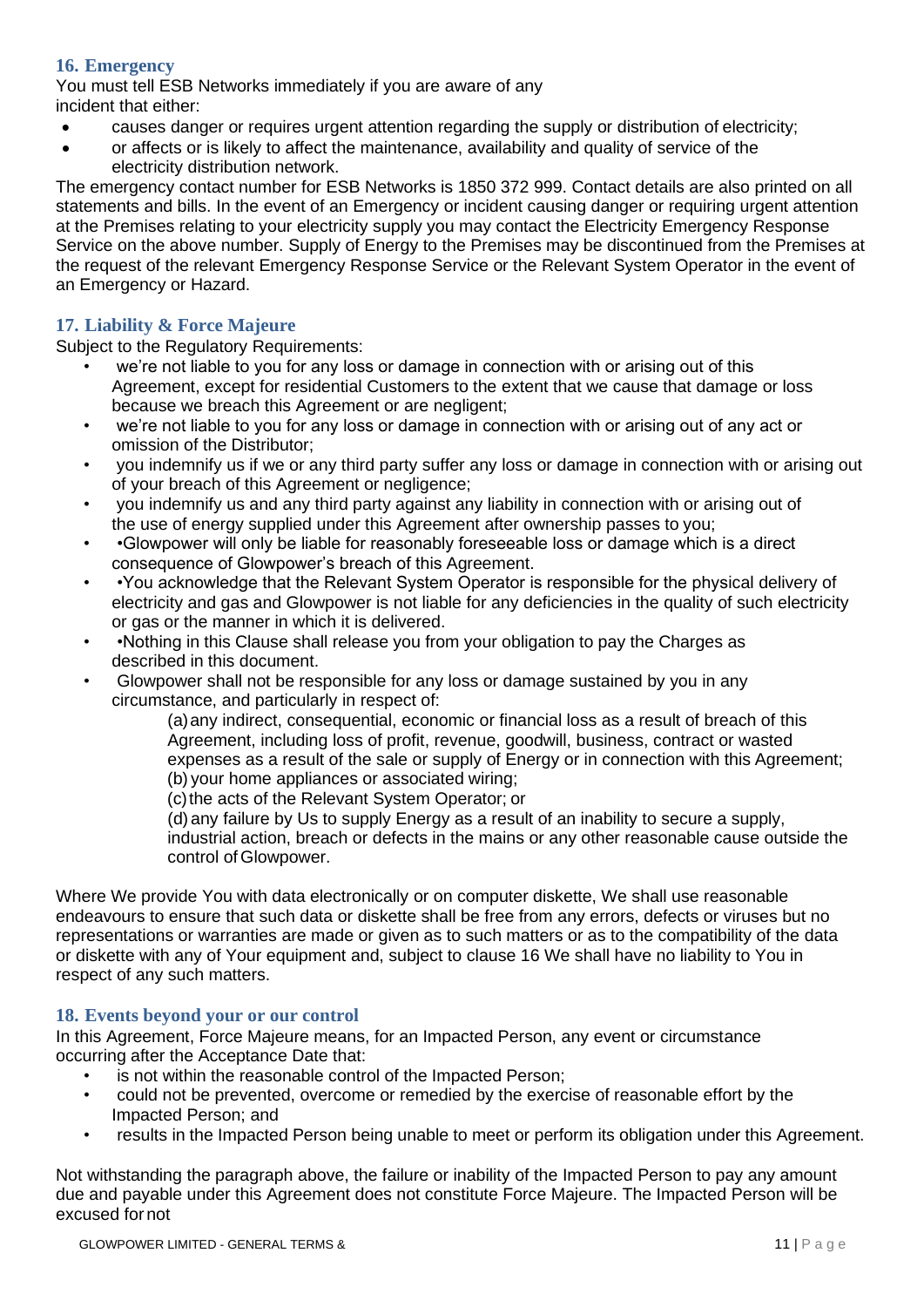## <span id="page-10-0"></span>**16. Emergency**

You must tell ESB Networks immediately if you are aware of any incident that either:

- causes danger or requires urgent attention regarding the supply or distribution of electricity;
- or affects or is likely to affect the maintenance, availability and quality of service of the electricity distribution network.

The emergency contact number for ESB Networks is 1850 372 999. Contact details are also printed on all statements and bills. In the event of an Emergency or incident causing danger or requiring urgent attention at the Premises relating to your electricity supply you may contact the Electricity Emergency Response Service on the above number. Supply of Energy to the Premises may be discontinued from the Premises at the request of the relevant Emergency Response Service or the Relevant System Operator in the event of an Emergency or Hazard.

## <span id="page-10-1"></span>**17. Liability & Force Majeure**

Subject to the Regulatory Requirements:

- we're not liable to you for any loss or damage in connection with or arising out of this Agreement, except for residential Customers to the extent that we cause that damage or loss because we breach this Agreement or are negligent;
- we're not liable to you for any loss or damage in connection with or arising out of any act or omission of the Distributor;
- you indemnify us if we or any third party suffer any loss or damage in connection with or arising out of your breach of this Agreement or negligence;
- you indemnify us and any third party against any liability in connection with or arising out of the use of energy supplied under this Agreement after ownership passes to you;
- •Glowpower will only be liable for reasonably foreseeable loss or damage which is a direct consequence of Glowpower's breach of this Agreement.
- •You acknowledge that the Relevant System Operator is responsible for the physical delivery of electricity and gas and Glowpower is not liable for any deficiencies in the quality of such electricity or gas or the manner in which it is delivered.
- •Nothing in this Clause shall release you from your obligation to pay the Charges as described in this document.
- Glowpower shall not be responsible for any loss or damage sustained by you in any circumstance, and particularly in respect of:

(a)any indirect, consequential, economic or financial loss as a result of breach of this Agreement, including loss of profit, revenue, goodwill, business, contract or wasted expenses as a result of the sale or supply of Energy or in connection with this Agreement; (b) your home appliances or associated wiring;

(c)the acts of the Relevant System Operator; or

(d) any failure by Us to supply Energy as a result of an inability to secure a supply, industrial action, breach or defects in the mains or any other reasonable cause outside the control of Glowpower.

Where We provide You with data electronically or on computer diskette, We shall use reasonable endeavours to ensure that such data or diskette shall be free from any errors, defects or viruses but no representations or warranties are made or given as to such matters or as to the compatibility of the data or diskette with any of Your equipment and, subject to clause 16 We shall have no liability to You in respect of any such matters.

## <span id="page-10-2"></span>**18. Events beyond your or our control**

In this Agreement, Force Majeure means, for an Impacted Person, any event or circumstance occurring after the Acceptance Date that:

- is not within the reasonable control of the Impacted Person;
	- could not be prevented, overcome or remedied by the exercise of reasonable effort by the Impacted Person; and
	- results in the Impacted Person being unable to meet or perform its obligation under this Agreement.

Not withstanding the paragraph above, the failure or inability of the Impacted Person to pay any amount due and payable under this Agreement does not constitute Force Majeure. The Impacted Person will be excused fornot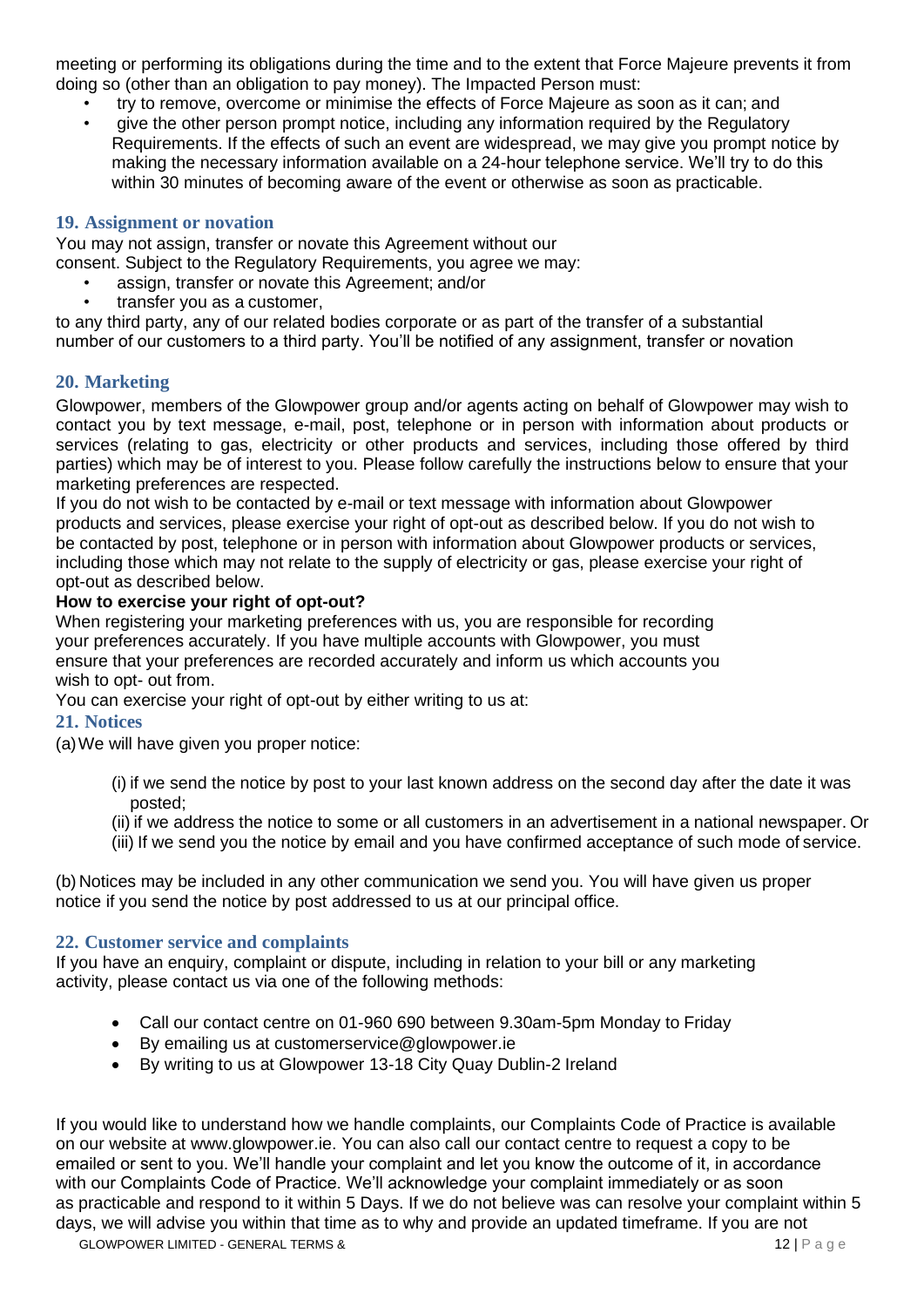meeting or performing its obligations during the time and to the extent that Force Majeure prevents it from doing so (other than an obligation to pay money). The Impacted Person must:

- try to remove, overcome or minimise the effects of Force Majeure as soon as it can; and
- give the other person prompt notice, including any information required by the Regulatory Requirements. If the effects of such an event are widespread, we may give you prompt notice by making the necessary information available on a 24-hour telephone service. We'll try to do this within 30 minutes of becoming aware of the event or otherwise as soon as practicable.

## <span id="page-11-0"></span>**19. Assignment or novation**

You may not assign, transfer or novate this Agreement without our consent. Subject to the Regulatory Requirements, you agree we may:

- assign, transfer or novate this Agreement; and/or
- transfer you as a customer,

to any third party, any of our related bodies corporate or as part of the transfer of a substantial number of our customers to a third party. You'll be notified of any assignment, transfer or novation

## <span id="page-11-1"></span>**20. Marketing**

Glowpower, members of the Glowpower group and/or agents acting on behalf of Glowpower may wish to contact you by text message, e-mail, post, telephone or in person with information about products or services (relating to gas, electricity or other products and services, including those offered by third parties) which may be of interest to you. Please follow carefully the instructions below to ensure that your marketing preferences are respected.

If you do not wish to be contacted by e-mail or text message with information about Glowpower products and services, please exercise your right of opt-out as described below. If you do not wish to be contacted by post, telephone or in person with information about Glowpower products or services, including those which may not relate to the supply of electricity or gas, please exercise your right of opt-out as described below.

## **How to exercise your right of opt-out?**

When registering your marketing preferences with us, you are responsible for recording your preferences accurately. If you have multiple accounts with Glowpower, you must ensure that your preferences are recorded accurately and inform us which accounts you wish to opt- out from.

You can exercise your right of opt-out by either writing to us at:

## <span id="page-11-2"></span>**21. Notices**

(a)We will have given you proper notice:

- (i) if we send the notice by post to your last known address on the second day after the date it was posted;
- (ii) if we address the notice to some or all customers in an advertisement in a national newspaper. Or
- (iii) If we send you the notice by email and you have confirmed acceptance of such mode of service.

(b) Notices may be included in any other communication we send you. You will have given us proper notice if you send the notice by post addressed to us at our principal office.

## <span id="page-11-3"></span>**22. Customer service and complaints**

If you have an enquiry, complaint or dispute, including in relation to your bill or any marketing activity, please contact us via one of the following methods:

- Call our contact centre on 01-960 690 between 9.30am-5pm Monday to Friday
- By emailing us at [customerservice@glowpower.ie](mailto:customerservice@glowpower.ie)
- By writing to us at Glowpower 13-18 City Quay Dublin-2 Ireland

If you would like to understand how we handle complaints, our Complaints Code of Practice is available on our website at [www.glowpower.ie. Y](http://www.glowpower.ie/)ou can also call our contact centre to request a copy to be emailed or sent to you. We'll handle your complaint and let you know the outcome of it, in accordance with our Complaints Code of Practice. We'll acknowledge your complaint immediately or as soon as practicable and respond to it within 5 Days. If we do not believe was can resolve your complaint within 5 days, we will advise you within that time as to why and provide an updated timeframe. If you are not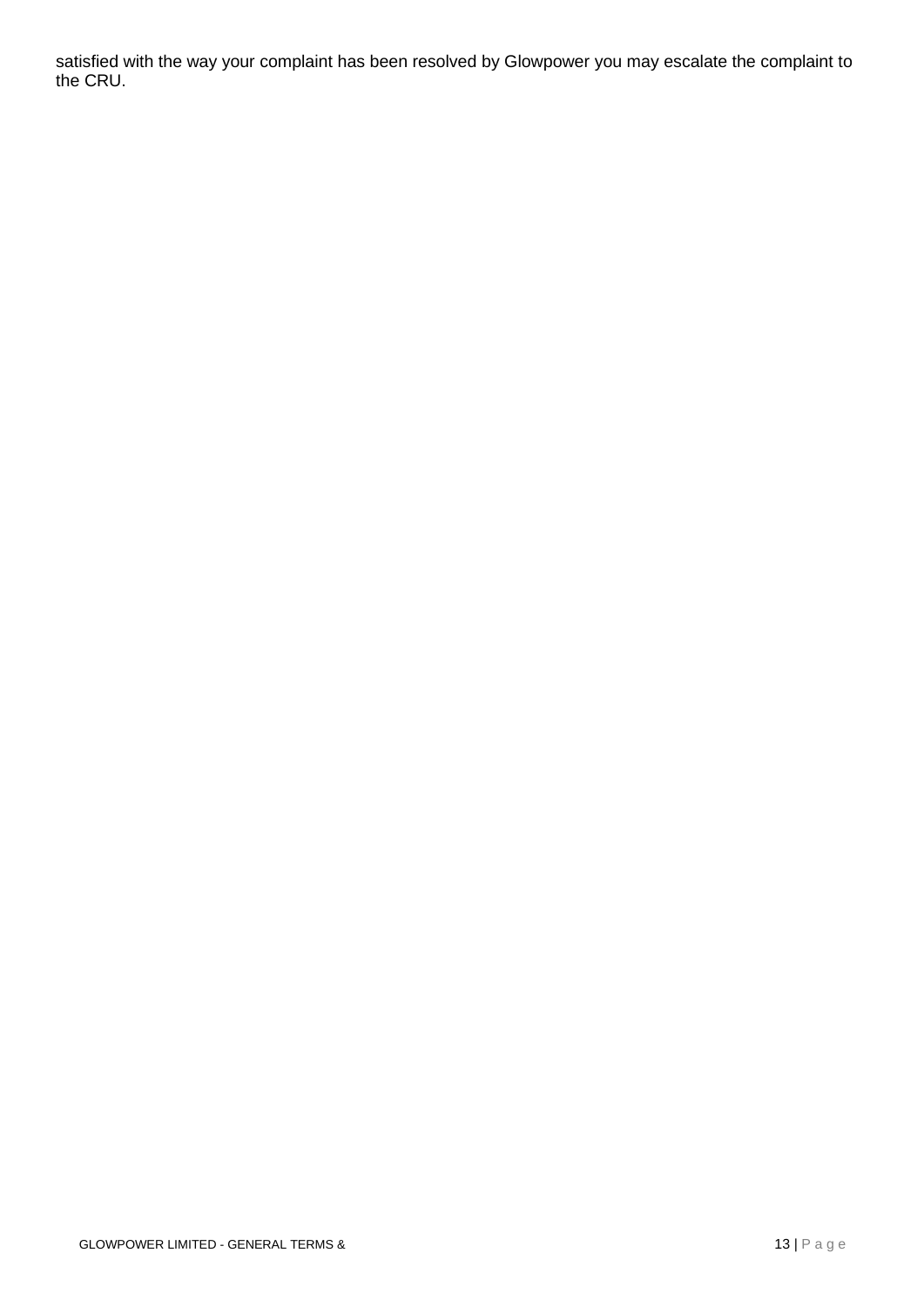satisfied with the way your complaint has been resolved by Glowpower you may escalate the complaint to the CRU.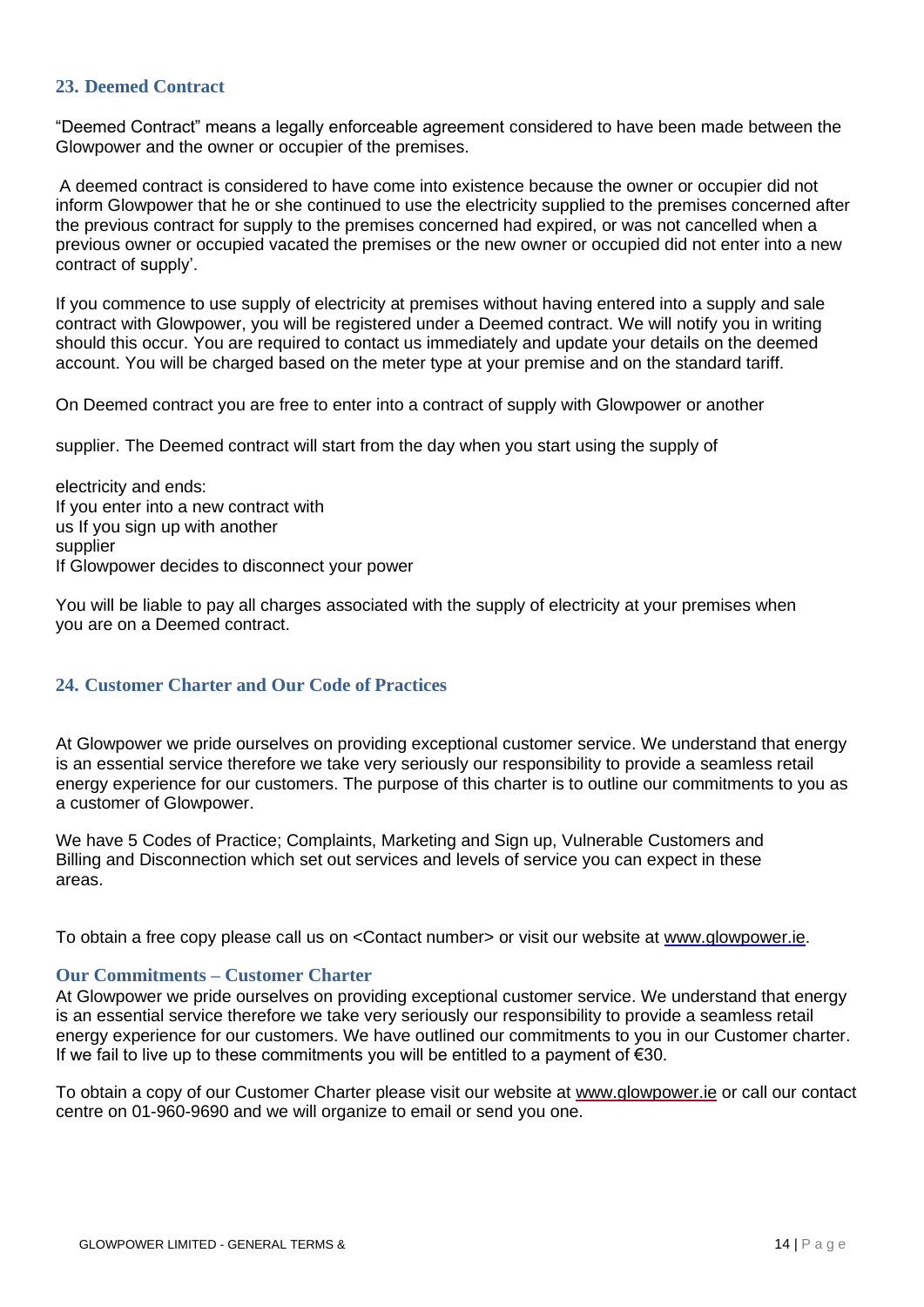## <span id="page-13-0"></span>**23. Deemed Contract**

"Deemed Contract" means a legally enforceable agreement considered to have been made between the Glowpower and the owner or occupier of the premises.

A deemed contract is considered to have come into existence because the owner or occupier did not inform Glowpower that he or she continued to use the electricity supplied to the premises concerned after the previous contract for supply to the premises concerned had expired, or was not cancelled when a previous owner or occupied vacated the premises or the new owner or occupied did not enter into a new contract of supply'.

If you commence to use supply of electricity at premises without having entered into a supply and sale contract with Glowpower, you will be registered under a Deemed contract. We will notify you in writing should this occur. You are required to contact us immediately and update your details on the deemed account. You will be charged based on the meter type at your premise and on the standard tariff.

On Deemed contract you are free to enter into a contract of supply with Glowpower or another

supplier. The Deemed contract will start from the day when you start using the supply of

electricity and ends: If you enter into a new contract with us If you sign up with another supplier If Glowpower decides to disconnect your power

You will be liable to pay all charges associated with the supply of electricity at your premises when you are on a Deemed contract.

#### <span id="page-13-1"></span>**24. Customer Charter and Our Code of Practices**

At Glowpower we pride ourselves on providing exceptional customer service. We understand that energy is an essential service therefore we take very seriously our responsibility to provide a seamless retail energy experience for our customers. The purpose of this charter is to outline our commitments to you as a customer of Glowpower.

We have 5 [Codes of Practice;](https://www.electricireland.ie/residential/helpful-links/customer-service-guarantees) Complaints, Marketing and Sign up, Vulnerable Customers and Billing and Disconnection which set out services and levels of service you can expect in these areas.

To obtain a free copy please call us on <Contact number> or visit our website at [www.glowpower.ie.](http://www.glowpower.ie/)

#### **Our Commitments – Customer Charter**

At Glowpower we pride ourselves on providing exceptional customer service. We understand that energy is an essential service therefore we take very seriously our responsibility to provide a seamless retail energy experience for our customers. We have outlined our commitments to you in our Customer charter. If we fail to live up to these commitments you will be entitled to a payment of  $\epsilon$ 30.

To obtain a copy of our Customer Charter please visit our website at [www.glowpower.ie](http://www.glowpower.ie/) or call our contact centre on 01-960-9690 and we will organize to email or send you one.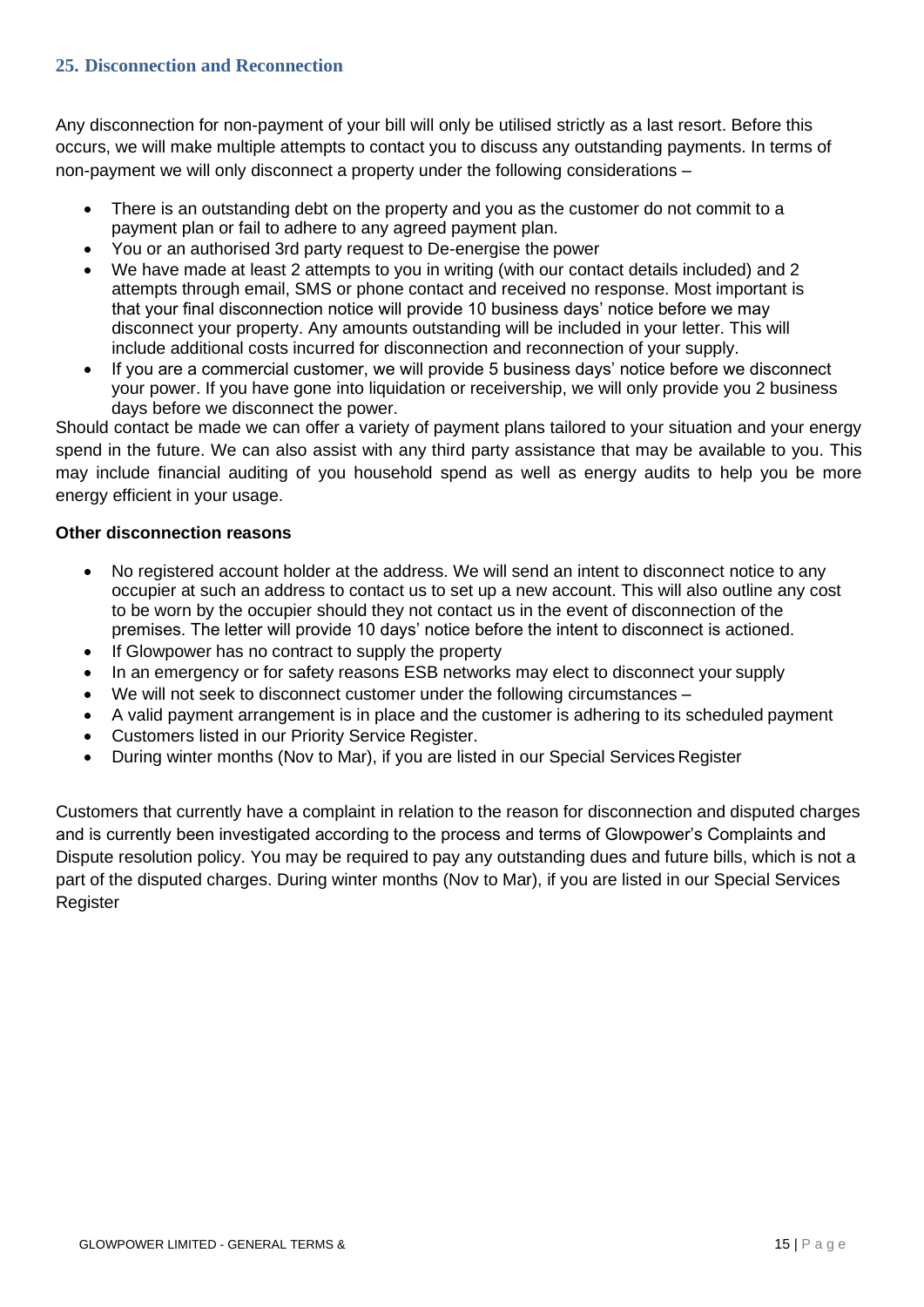## <span id="page-14-0"></span>**25. Disconnection and Reconnection**

Any disconnection for non-payment of your bill will only be utilised strictly as a last resort. Before this occurs, we will make multiple attempts to contact you to discuss any outstanding payments. In terms of non-payment we will only disconnect a property under the following considerations –

- There is an outstanding debt on the property and you as the customer do not commit to a payment plan or fail to adhere to any agreed payment plan.
- You or an authorised 3rd party request to De-energise the power
- We have made at least 2 attempts to you in writing (with our contact details included) and 2 attempts through email, SMS or phone contact and received no response. Most important is that your final disconnection notice will provide 10 business days' notice before we may disconnect your property. Any amounts outstanding will be included in your letter. This will include additional costs incurred for disconnection and reconnection of your supply.
- If you are a commercial customer, we will provide 5 business days' notice before we disconnect your power. If you have gone into liquidation or receivership, we will only provide you 2 business days before we disconnect the power.

Should contact be made we can offer a variety of payment plans tailored to your situation and your energy spend in the future. We can also assist with any third party assistance that may be available to you. This may include financial auditing of you household spend as well as energy audits to help you be more energy efficient in your usage.

## **Other disconnection reasons**

- No registered account holder at the address. We will send an intent to disconnect notice to any occupier at such an address to contact us to set up a new account. This will also outline any cost to be worn by the occupier should they not contact us in the event of disconnection of the premises. The letter will provide 10 days' notice before the intent to disconnect is actioned.
- If Glowpower has no contract to supply the property
- In an emergency or for safety reasons ESB networks may elect to disconnect your supply
- We will not seek to disconnect customer under the following circumstances –
- A valid payment arrangement is in place and the customer is adhering to its scheduled payment
- Customers listed in our Priority Service Register.
- During winter months (Nov to Mar), if you are listed in our Special Services Register

Customers that currently have a complaint in relation to the reason for disconnection and disputed charges and is currently been investigated according to the process and terms of Glowpower's Complaints and Dispute resolution policy. You may be required to pay any outstanding dues and future bills, which is not a part of the disputed charges. During winter months (Nov to Mar), if you are listed in our Special Services Register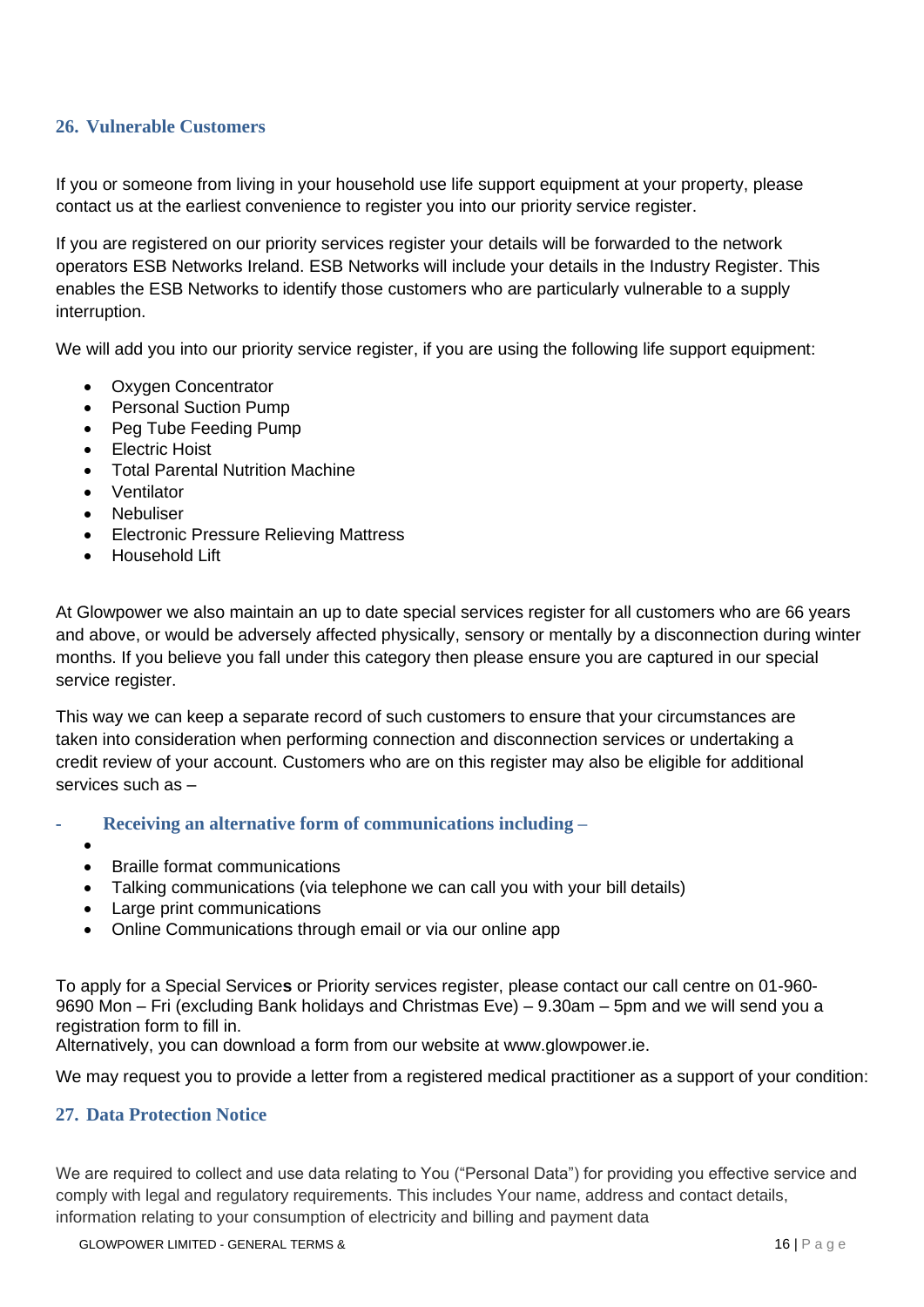## **26. Vulnerable Customers**

If you or someone from living in your household use life support equipment at your property, please contact us at the earliest convenience to register you into our priority service register.

If you are registered on our priority services register your details will be forwarded to the network operators ESB Networks Ireland. ESB Networks will include your details in the Industry Register. This enables the ESB Networks to identify those customers who are particularly vulnerable to a supply interruption.

We will add you into our priority service register, if you are using the following life support equipment:

- Oxygen Concentrator
- Personal Suction Pump
- Peg Tube Feeding Pump
- Electric Hoist
- Total Parental Nutrition Machine
- Ventilator
- **Nebuliser**
- Electronic Pressure Relieving Mattress
- Household Lift

At Glowpower we also maintain an up to date special services register for all customers who are 66 years and above, or would be adversely affected physically, sensory or mentally by a disconnection during winter months. If you believe you fall under this category then please ensure you are captured in our special service register.

This way we can keep a separate record of such customers to ensure that your circumstances are taken into consideration when performing connection and disconnection services or undertaking a credit review of your account. Customers who are on this register may also be eligible for additional services such as –

- **- Receiving an alternative form of communications including –**
	- •
	- Braille format communications
	- Talking communications (via telephone we can call you with your bill details)
	- Large print communications
	- Online Communications through email or via our online app

To apply for a Special Service**s** or Priority services register, please contact our call centre on 01-960- 9690 Mon – Fri (excluding Bank holidays and Christmas Eve) – 9.30am – 5pm and we will send you a registration form to fill in.

Alternatively, you can download a form from our website at [www.glowpower.ie.](http://www.glowpower.ie/)

We may request you to provide a letter from a registered medical practitioner as a support of your condition:

## **27. Data Protection Notice**

We are required to collect and use data relating to You ("Personal Data") for providing you effective service and comply with legal and regulatory requirements. This includes Your name, address and contact details, information relating to your consumption of electricity and billing and payment data

GLOWPOWER LIMITED - GENERAL TERMS & 16 | P a g e 16 | P a g e 16 | P a g e 16 | P a g e 16 | P a g e